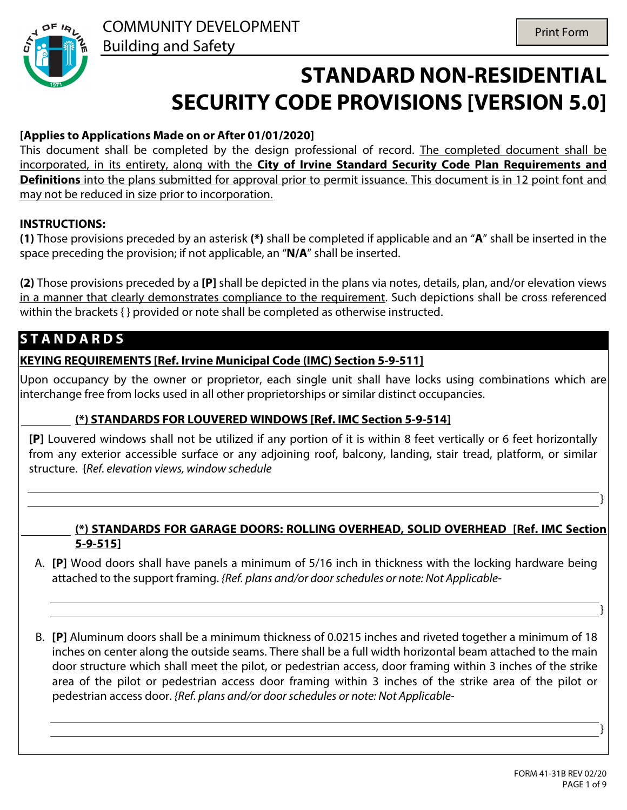

# **STANDARD NON-RESIDENTIAL SECURITY CODE PROVISIONS [VERSION 5.0]**

## **[Applies to Applications Made on or After 01/01/2020]**

This document shall be completed by the design professional of record. The completed document shall be incorporated, in its entirety, along with the **City of Irvine Standard Security Code Plan Requirements and Definitions** into the plans submitted for approval prior to permit issuance. This document is in 12 point font and may not be reduced in size prior to incorporation.

#### **INSTRUCTIONS:**

**(1)** Those provisions preceded by an asterisk **(\*)** shall be completed if applicable and an "**A**" shall be inserted in the space preceding the provision; if not applicable, an "**N/A**" shall be inserted.

**(2)** Those provisions preceded by a **[P]** shall be depicted in the plans via notes, details, plan, and/or elevation views in a manner that clearly demonstrates compliance to the requirement. Such depictions shall be cross referenced within the brackets { } provided or note shall be completed as otherwise instructed.

## **S T A N D A R D S**

#### **KEYING REQUIREMENTS [Ref. Irvine Municipal Code (IMC) Section 5-9-511]**

Upon occupancy by the owner or proprietor, each single unit shall have locks using combinations which are interchange free from locks used in all other proprietorships or similar distinct occupancies.

## $\boxed{\blacksquare}$  (\*) STANDARDS FOR LOUVERED WINDOWS [Ref. IMC Section 5-9-514]

**[P]** Louvered windows shall not be utilized if any portion of it is within 8 feet vertically or 6 feet horizontally from any exterior accessible surface or any adjoining roof, balcony, landing, stair tread, platform, or similar structure. {*Ref. elevation views, window schedule*

#### **(\*) STANDARDS FOR GARAGE DOORS: ROLLING OVERHEAD, SOLID OVERHEAD [Ref. IMC Section 5-9-515]**

- A. **[P]** Wood doors shall have panels a minimum of 5/16 inch in thickness with the locking hardware being attached to the support framing. *{Ref. plans and/or door schedules or note: Not Applicable-*
- B. **[P]** Aluminum doors shall be a minimum thickness of 0.0215 inches and riveted together a minimum of 18 inches on center along the outside seams. There shall be a full width horizontal beam attached to the main door structure which shall meet the pilot, or pedestrian access, door framing within 3 inches of the strike area of the pilot or pedestrian access door framing within 3 inches of the strike area of the pilot or pedestrian access door. *{Ref. plans and/or door schedules or note: Not Applicable-*

}

}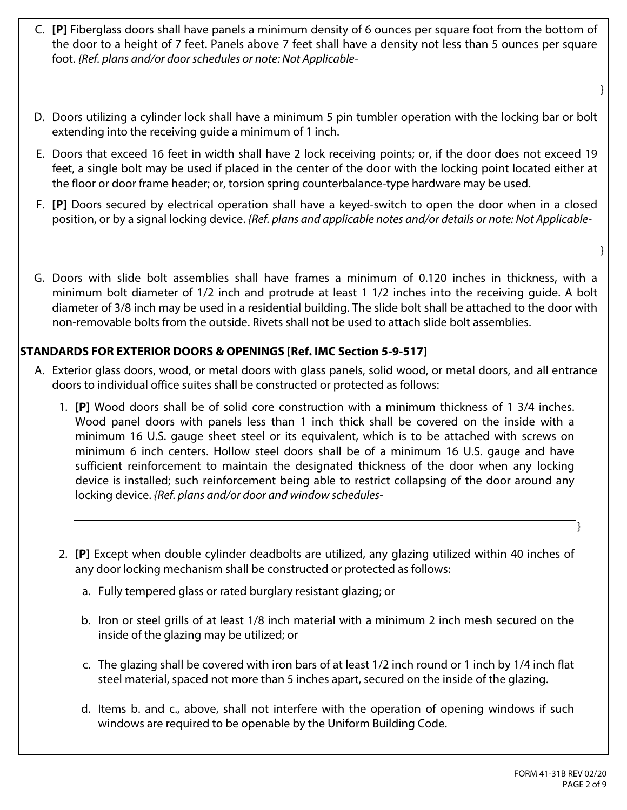- C. **[P]** Fiberglass doors shall have panels a minimum density of 6 ounces per square foot from the bottom of the door to a height of 7 feet. Panels above 7 feet shall have a density not less than 5 ounces per square foot. *{Ref. plans and/or door schedules or note: Not Applicable-*
- D. Doors utilizing a cylinder lock shall have a minimum 5 pin tumbler operation with the locking bar or bolt extending into the receiving guide a minimum of 1 inch.
- E. Doors that exceed 16 feet in width shall have 2 lock receiving points; or, if the door does not exceed 19 feet, a single bolt may be used if placed in the center of the door with the locking point located either at the floor or door frame header; or, torsion spring counterbalance-type hardware may be used.
- F. **[P]** Doors secured by electrical operation shall have a keyed-switch to open the door when in a closed position, or by a signal locking device. *{Ref. plans and applicable notes and/or details or note: Not Applicable-*
- G. Doors with slide bolt assemblies shall have frames a minimum of 0.120 inches in thickness, with a minimum bolt diameter of 1/2 inch and protrude at least 1 1/2 inches into the receiving guide. A bolt diameter of 3/8 inch may be used in a residential building. The slide bolt shall be attached to the door with non-removable bolts from the outside. Rivets shall not be used to attach slide bolt assemblies.

#### **STANDARDS FOR EXTERIOR DOORS & OPENINGS [Ref. IMC Section 5-9-517]**

- A. Exterior glass doors, wood, or metal doors with glass panels, solid wood, or metal doors, and all entrance doors to individual office suites shall be constructed or protected as follows:
	- 1. **[P]** Wood doors shall be of solid core construction with a minimum thickness of 1 3/4 inches. Wood panel doors with panels less than 1 inch thick shall be covered on the inside with a minimum 16 U.S. gauge sheet steel or its equivalent, which is to be attached with screws on minimum 6 inch centers. Hollow steel doors shall be of a minimum 16 U.S. gauge and have sufficient reinforcement to maintain the designated thickness of the door when any locking device is installed; such reinforcement being able to restrict collapsing of the door around any locking device. *{Ref. plans and/or door and window schedules-*
	- 2. **[P]** Except when double cylinder deadbolts are utilized, any glazing utilized within 40 inches of any door locking mechanism shall be constructed or protected as follows:
		- a. Fully tempered glass or rated burglary resistant glazing; or
		- b. Iron or steel grills of at least 1/8 inch material with a minimum 2 inch mesh secured on the inside of the glazing may be utilized; or
		- c. The glazing shall be covered with iron bars of at least 1/2 inch round or 1 inch by 1/4 inch flat steel material, spaced not more than 5 inches apart, secured on the inside of the glazing.
		- d. Items b. and c., above, shall not interfere with the operation of opening windows if such windows are required to be openable by the Uniform Building Code.

}

}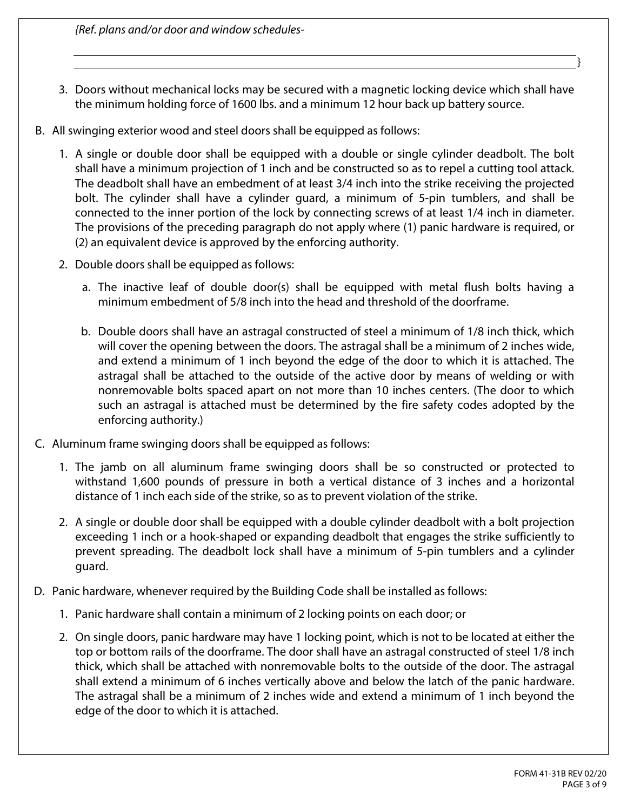*{Ref. plans and/or door and window schedules-*

- 3. Doors without mechanical locks may be secured with a magnetic locking device which shall have the minimum holding force of 1600 lbs. and a minimum 12 hour back up battery source.
- B. All swinging exterior wood and steel doors shall be equipped as follows:
	- 1. A single or double door shall be equipped with a double or single cylinder deadbolt. The bolt shall have a minimum projection of 1 inch and be constructed so as to repel a cutting tool attack. The deadbolt shall have an embedment of at least 3/4 inch into the strike receiving the projected bolt. The cylinder shall have a cylinder guard, a minimum of 5-pin tumblers, and shall be connected to the inner portion of the lock by connecting screws of at least 1/4 inch in diameter. The provisions of the preceding paragraph do not apply where (1) panic hardware is required, or (2) an equivalent device is approved by the enforcing authority.
	- 2. Double doors shall be equipped as follows:
		- a. The inactive leaf of double door(s) shall be equipped with metal flush bolts having a minimum embedment of 5/8 inch into the head and threshold of the doorframe.
		- b. Double doors shall have an astragal constructed of steel a minimum of 1/8 inch thick, which will cover the opening between the doors. The astragal shall be a minimum of 2 inches wide, and extend a minimum of 1 inch beyond the edge of the door to which it is attached. The astragal shall be attached to the outside of the active door by means of welding or with nonremovable bolts spaced apart on not more than 10 inches centers. (The door to which such an astragal is attached must be determined by the fire safety codes adopted by the enforcing authority.)
- C. Aluminum frame swinging doors shall be equipped as follows:
	- 1. The jamb on all aluminum frame swinging doors shall be so constructed or protected to withstand 1,600 pounds of pressure in both a vertical distance of 3 inches and a horizontal distance of 1 inch each side of the strike, so as to prevent violation of the strike.
	- 2. A single or double door shall be equipped with a double cylinder deadbolt with a bolt projection exceeding 1 inch or a hook-shaped or expanding deadbolt that engages the strike sufficiently to prevent spreading. The deadbolt lock shall have a minimum of 5-pin tumblers and a cylinder guard.
- D. Panic hardware, whenever required by the Building Code shall be installed as follows:
	- 1. Panic hardware shall contain a minimum of 2 locking points on each door; or
	- 2. On single doors, panic hardware may have 1 locking point, which is not to be located at either the top or bottom rails of the doorframe. The door shall have an astragal constructed of steel 1/8 inch thick, which shall be attached with nonremovable bolts to the outside of the door. The astragal shall extend a minimum of 6 inches vertically above and below the latch of the panic hardware. The astragal shall be a minimum of 2 inches wide and extend a minimum of 1 inch beyond the edge of the door to which it is attached.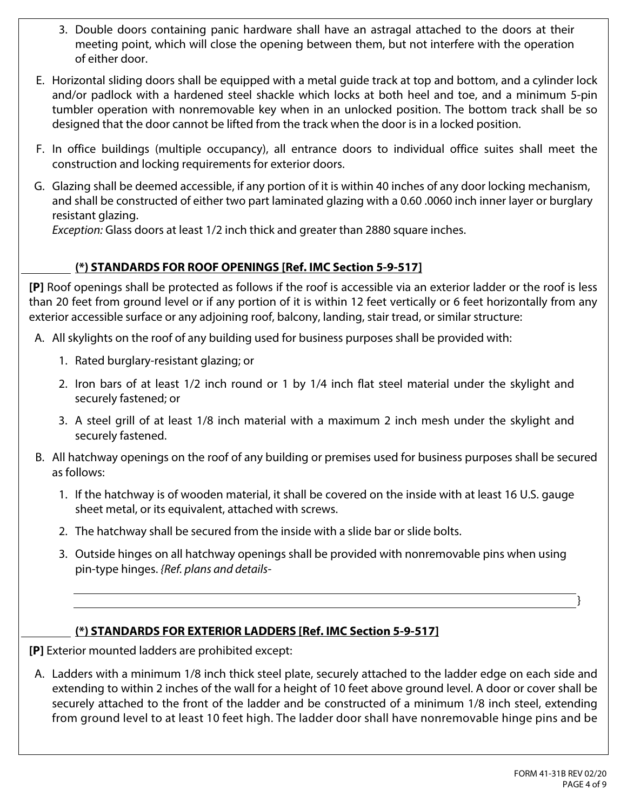- 3. Double doors containing panic hardware shall have an astragal attached to the doors at their meeting point, which will close the opening between them, but not interfere with the operation of either door.
- E. Horizontal sliding doors shall be equipped with a metal guide track at top and bottom, and a cylinder lock and/or padlock with a hardened steel shackle which locks at both heel and toe, and a minimum 5-pin tumbler operation with nonremovable key when in an unlocked position. The bottom track shall be so designed that the door cannot be lifted from the track when the door is in a locked position.
- F. In office buildings (multiple occupancy), all entrance doors to individual office suites shall meet the construction and locking requirements for exterior doors.
- G. Glazing shall be deemed accessible, if any portion of it is within 40 inches of any door locking mechanism, and shall be constructed of either two part laminated glazing with a 0.60 .0060 inch inner layer or burglary resistant glazing.

*Exception:* Glass doors at least 1/2 inch thick and greater than 2880 square inches.

## **(\*) STANDARDS FOR ROOF OPENINGS [Ref. IMC Section 5-9-517]**

**[P]** Roof openings shall be protected as follows if the roof is accessible via an exterior ladder or the roof is less than 20 feet from ground level or if any portion of it is within 12 feet vertically or 6 feet horizontally from any exterior accessible surface or any adjoining roof, balcony, landing, stair tread, or similar structure:

A. All skylights on the roof of any building used for business purposes shall be provided with:

- 1. Rated burglary-resistant glazing; or
- 2. Iron bars of at least 1/2 inch round or 1 by 1/4 inch flat steel material under the skylight and securely fastened; or
- 3. A steel grill of at least 1/8 inch material with a maximum 2 inch mesh under the skylight and securely fastened.
- B. All hatchway openings on the roof of any building or premises used for business purposes shall be secured as follows:
	- 1. If the hatchway is of wooden material, it shall be covered on the inside with at least 16 U.S. gauge sheet metal, or its equivalent, attached with screws.
	- 2. The hatchway shall be secured from the inside with a slide bar or slide bolts.
	- 3. Outside hinges on all hatchway openings shall be provided with nonremovable pins when using pin-type hinges. *{Ref. plans and details-*

## **(\*) STANDARDS FOR EXTERIOR LADDERS [Ref. IMC Section 5-9-517]**

**[P]** Exterior mounted ladders are prohibited except:

A. Ladders with a minimum 1/8 inch thick steel plate, securely attached to the ladder edge on each side and extending to within 2 inches of the wall for a height of 10 feet above ground level. A door or cover shall be securely attached to the front of the ladder and be constructed of a minimum 1/8 inch steel, extending from ground level to at least 10 feet high. The ladder door shall have nonremovable hinge pins and be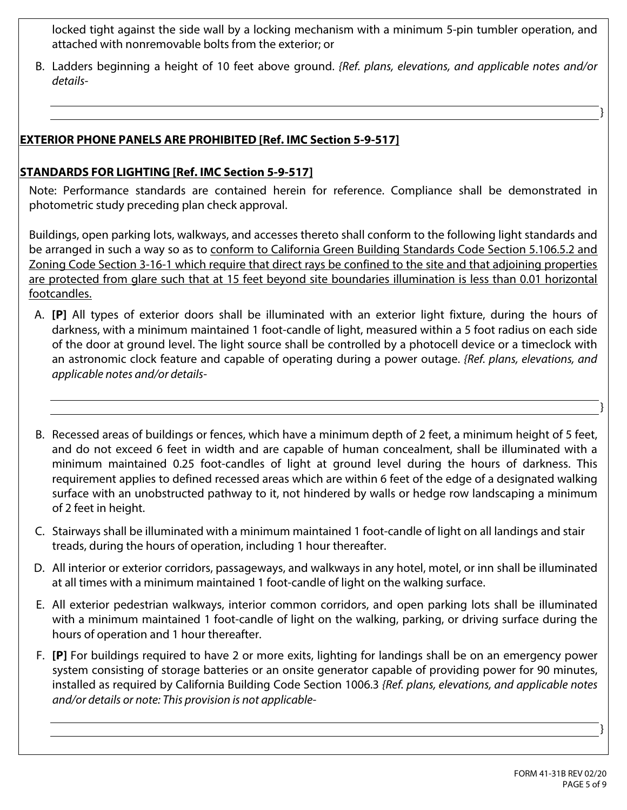locked tight against the side wall by a locking mechanism with a minimum 5-pin tumbler operation, and attached with nonremovable bolts from the exterior; or

B. Ladders beginning a height of 10 feet above ground. *{Ref. plans, elevations, and applicable notes and/or details-*

## **EXTERIOR PHONE PANELS ARE PROHIBITED [Ref. IMC Section 5-9-517]**

#### **STANDARDS FOR LIGHTING [Ref. IMC Section 5-9-517]**

Note: Performance standards are contained herein for reference. Compliance shall be demonstrated in photometric study preceding plan check approval.

Buildings, open parking lots, walkways, and accesses thereto shall conform to the following light standards and be arranged in such a way so as to conform to California Green Building Standards Code Section 5.106.5.2 and Zoning Code Section 3-16-1 which require that direct rays be confined to the site and that adjoining properties are protected from glare such that at 15 feet beyond site boundaries illumination is less than 0.01 horizontal footcandles.

- A. **[P]** All types of exterior doors shall be illuminated with an exterior light fixture, during the hours of darkness, with a minimum maintained 1 foot-candle of light, measured within a 5 foot radius on each side of the door at ground level. The light source shall be controlled by a photocell device or a timeclock with an astronomic clock feature and capable of operating during a power outage. *{Ref. plans, elevations, and applicable notes and/or details-*
- B. Recessed areas of buildings or fences, which have a minimum depth of 2 feet, a minimum height of 5 feet, and do not exceed 6 feet in width and are capable of human concealment, shall be illuminated with a minimum maintained 0.25 foot-candles of light at ground level during the hours of darkness. This requirement applies to defined recessed areas which are within 6 feet of the edge of a designated walking surface with an unobstructed pathway to it, not hindered by walls or hedge row landscaping a minimum of 2 feet in height.
- C. Stairways shall be illuminated with a minimum maintained 1 foot-candle of light on all landings and stair treads, during the hours of operation, including 1 hour thereafter.
- D. All interior or exterior corridors, passageways, and walkways in any hotel, motel, or inn shall be illuminated at all times with a minimum maintained 1 foot-candle of light on the walking surface.
- E. All exterior pedestrian walkways, interior common corridors, and open parking lots shall be illuminated with a minimum maintained 1 foot-candle of light on the walking, parking, or driving surface during the hours of operation and 1 hour thereafter.
- F. **[P]** For buildings required to have 2 or more exits, lighting for landings shall be on an emergency power system consisting of storage batteries or an onsite generator capable of providing power for 90 minutes, installed as required by California Building Code Section 1006.3 *{Ref. plans, elevations, and applicable notes and/or details or note: This provision is not applicable-*

}

}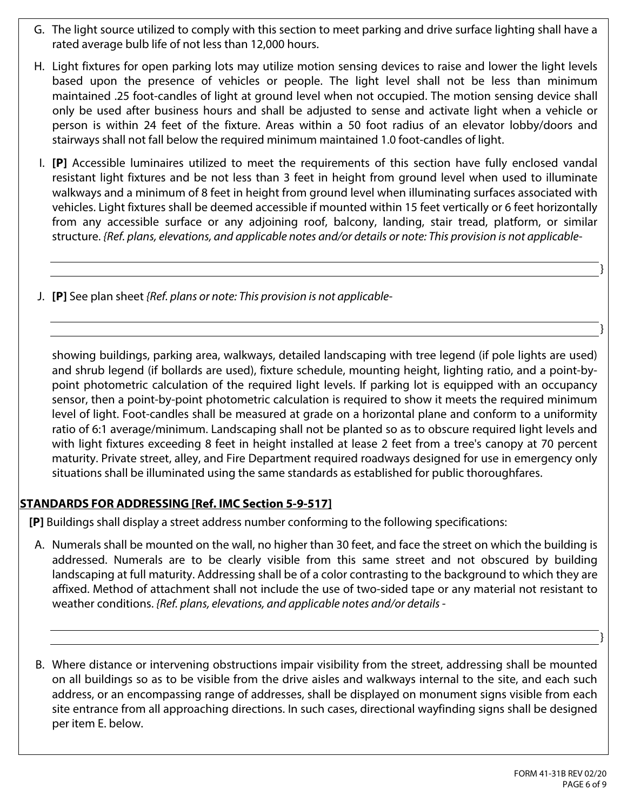- G. The light source utilized to comply with this section to meet parking and drive surface lighting shall have a rated average bulb life of not less than 12,000 hours.
- H. Light fixtures for open parking lots may utilize motion sensing devices to raise and lower the light levels based upon the presence of vehicles or people. The light level shall not be less than minimum maintained .25 foot-candles of light at ground level when not occupied. The motion sensing device shall only be used after business hours and shall be adjusted to sense and activate light when a vehicle or person is within 24 feet of the fixture. Areas within a 50 foot radius of an elevator lobby/doors and stairways shall not fall below the required minimum maintained 1.0 foot-candles of light.
- I. **[P]** Accessible luminaires utilized to meet the requirements of this section have fully enclosed vandal resistant light fixtures and be not less than 3 feet in height from ground level when used to illuminate walkways and a minimum of 8 feet in height from ground level when illuminating surfaces associated with vehicles. Light fixtures shall be deemed accessible if mounted within 15 feet vertically or 6 feet horizontally from any accessible surface or any adjoining roof, balcony, landing, stair tread, platform, or similar structure. *{Ref. plans, elevations, and applicable notes and/or details or note: This provision is not applicable-*
- J. **[P]** See plan sheet *{Ref. plans or note: This provision is not applicable-*

showing buildings, parking area, walkways, detailed landscaping with tree legend (if pole lights are used) and shrub legend (if bollards are used), fixture schedule, mounting height, lighting ratio, and a point-bypoint photometric calculation of the required light levels. If parking lot is equipped with an occupancy sensor, then a point-by-point photometric calculation is required to show it meets the required minimum level of light. Foot-candles shall be measured at grade on a horizontal plane and conform to a uniformity ratio of 6:1 average/minimum. Landscaping shall not be planted so as to obscure required light levels and with light fixtures exceeding 8 feet in height installed at lease 2 feet from a tree's canopy at 70 percent maturity. Private street, alley, and Fire Department required roadways designed for use in emergency only situations shall be illuminated using the same standards as established for public thoroughfares.

## **STANDARDS FOR ADDRESSING [Ref. IMC Section 5-9-517]**

 Ī

**[P]** Buildings shall display a street address number conforming to the following specifications:

- A. Numerals shall be mounted on the wall, no higher than 30 feet, and face the street on which the building is addressed. Numerals are to be clearly visible from this same street and not obscured by building landscaping at full maturity. Addressing shall be of a color contrasting to the background to which they are affixed. Method of attachment shall not include the use of two-sided tape or any material not resistant to weather conditions. *{Ref. plans, elevations, and applicable notes and/or details -*
- B. Where distance or intervening obstructions impair visibility from the street, addressing shall be mounted on all buildings so as to be visible from the drive aisles and walkways internal to the site, and each such address, or an encompassing range of addresses, shall be displayed on monument signs visible from each site entrance from all approaching directions. In such cases, directional wayfinding signs shall be designed per item E. below.

}

}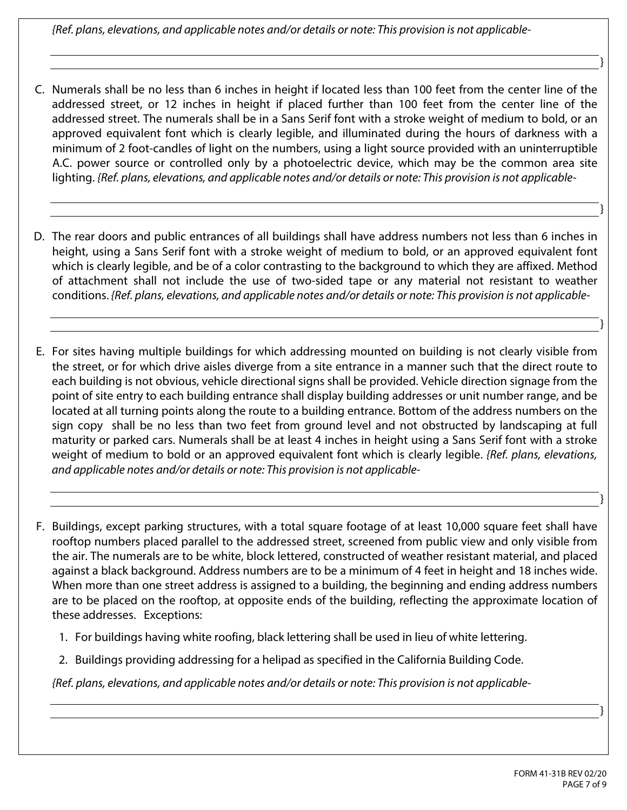*{Ref. plans, elevations, and applicable notes and/or details or note: This provision is not applicable-*

- C. Numerals shall be no less than 6 inches in height if located less than 100 feet from the center line of the addressed street, or 12 inches in height if placed further than 100 feet from the center line of the addressed street. The numerals shall be in a Sans Serif font with a stroke weight of medium to bold, or an approved equivalent font which is clearly legible, and illuminated during the hours of darkness with a minimum of 2 foot-candles of light on the numbers, using a light source provided with an uninterruptible A.C. power source or controlled only by a photoelectric device, which may be the common area site lighting. *{Ref. plans, elevations, and applicable notes and/or details or note: This provision is not applicable-*
- D. The rear doors and public entrances of all buildings shall have address numbers not less than 6 inches in height, using a Sans Serif font with a stroke weight of medium to bold, or an approved equivalent font which is clearly legible, and be of a color contrasting to the background to which they are affixed. Method of attachment shall not include the use of two-sided tape or any material not resistant to weather conditions. *{Ref. plans, elevations, and applicable notes and/or details or note: This provision is not applicable-*
- E. For sites having multiple buildings for which addressing mounted on building is not clearly visible from the street, or for which drive aisles diverge from a site entrance in a manner such that the direct route to each building is not obvious, vehicle directional signs shall be provided. Vehicle direction signage from the point of site entry to each building entrance shall display building addresses or unit number range, and be located at all turning points along the route to a building entrance. Bottom of the address numbers on the sign copy shall be no less than two feet from ground level and not obstructed by landscaping at full maturity or parked cars. Numerals shall be at least 4 inches in height using a Sans Serif font with a stroke weight of medium to bold or an approved equivalent font which is clearly legible. *{Ref. plans, elevations, and applicable notes and/or details or note: This provision is not applicable-*
- F. Buildings, except parking structures, with a total square footage of at least 10,000 square feet shall have rooftop numbers placed parallel to the addressed street, screened from public view and only visible from the air. The numerals are to be white, block lettered, constructed of weather resistant material, and placed against a black background. Address numbers are to be a minimum of 4 feet in height and 18 inches wide. When more than one street address is assigned to a building, the beginning and ending address numbers are to be placed on the rooftop, at opposite ends of the building, reflecting the approximate location of these addresses. Exceptions:
	- 1. For buildings having white roofing, black lettering shall be used in lieu of white lettering.
	- 2. Buildings providing addressing for a helipad as specified in the California Building Code.

*{Ref. plans, elevations, and applicable notes and/or details or note: This provision is not applicable-*

}

}

}

}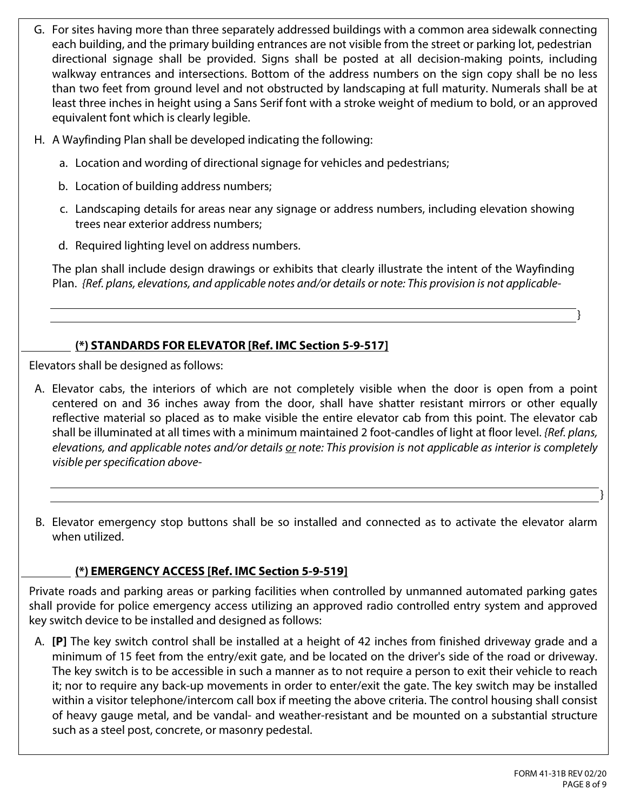- G. For sites having more than three separately addressed buildings with a common area sidewalk connecting each building, and the primary building entrances are not visible from the street or parking lot, pedestrian directional signage shall be provided. Signs shall be posted at all decision-making points, including walkway entrances and intersections. Bottom of the address numbers on the sign copy shall be no less than two feet from ground level and not obstructed by landscaping at full maturity. Numerals shall be at least three inches in height using a Sans Serif font with a stroke weight of medium to bold, or an approved equivalent font which is clearly legible.
- H. A Wayfinding Plan shall be developed indicating the following:
	- a. Location and wording of directional signage for vehicles and pedestrians;
	- b. Location of building address numbers;
	- c. Landscaping details for areas near any signage or address numbers, including elevation showing trees near exterior address numbers;
	- d. Required lighting level on address numbers.

The plan shall include design drawings or exhibits that clearly illustrate the intent of the Wayfinding Plan. *{Ref. plans, elevations, and applicable notes and/or details or note: This provision is not applicable-*

## **(\*) STANDARDS FOR ELEVATOR [Ref. IMC Section 5-9-517]**

Elevators shall be designed as follows:

- A. Elevator cabs, the interiors of which are not completely visible when the door is open from a point centered on and 36 inches away from the door, shall have shatter resistant mirrors or other equally reflective material so placed as to make visible the entire elevator cab from this point. The elevator cab shall be illuminated at all times with a minimum maintained 2 foot-candles of light at floor level. *{Ref. plans, elevations, and applicable notes and/or details or note: This provision is not applicable as interior is completely visible per specification above-*
- B. Elevator emergency stop buttons shall be so installed and connected as to activate the elevator alarm when utilized.

## **(\*) EMERGENCY ACCESS [Ref. IMC Section 5-9-519]**

Private roads and parking areas or parking facilities when controlled by unmanned automated parking gates shall provide for police emergency access utilizing an approved radio controlled entry system and approved key switch device to be installed and designed as follows:

A. **[P]** The key switch control shall be installed at a height of 42 inches from finished driveway grade and a minimum of 15 feet from the entry/exit gate, and be located on the driver's side of the road or driveway. The key switch is to be accessible in such a manner as to not require a person to exit their vehicle to reach it; nor to require any back-up movements in order to enter/exit the gate. The key switch may be installed within a visitor telephone/intercom call box if meeting the above criteria. The control housing shall consist of heavy gauge metal, and be vandal- and weather-resistant and be mounted on a substantial structure such as a steel post, concrete, or masonry pedestal.

}